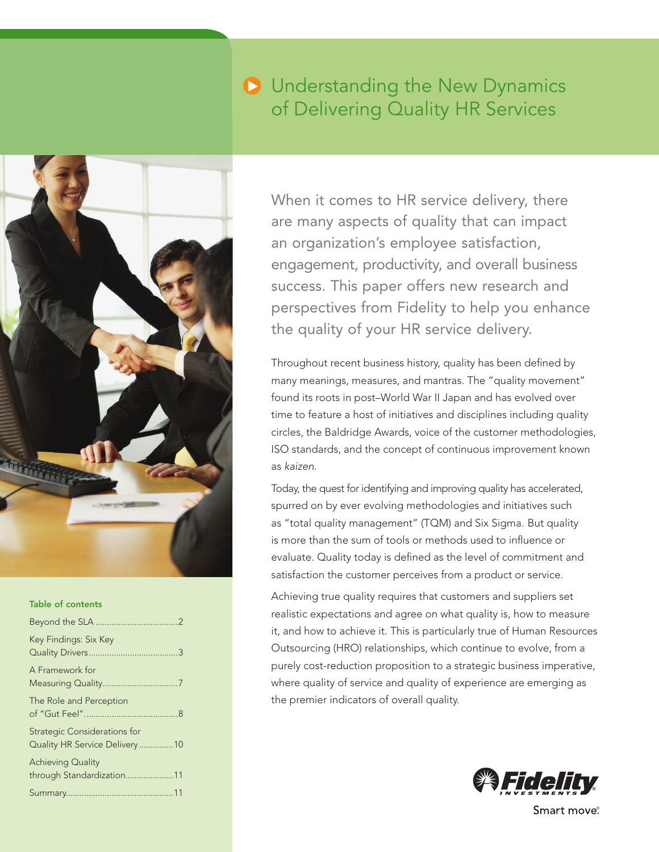# **D** Understanding the New Dynamics of Delivering Quality HR Services



#### Table of contents

| Key Findings: Six Key                                                 |  |
|-----------------------------------------------------------------------|--|
| A Framework for<br>Measuring Quality7                                 |  |
| The Role and Perception                                               |  |
| <b>Strategic Considerations for</b><br>Quality HR Service Delivery 10 |  |
| Achieving Quality<br>through Standardization11                        |  |
|                                                                       |  |

When it comes to HR service delivery, there are many aspects of quality that can impact an organization's employee satisfaction, engagement, productivity, and overall business success. This paper offers new research and perspectives from Fidelity to help you enhance the quality of your HR service delivery.

Throughout recent business history, quality has been defined by many meanings, measures, and mantras. The "quality movement" found its roots in post–World War II Japan and has evolved over time to feature a host of initiatives and disciplines including quality circles, the Baldridge Awards, voice of the customer methodologies, ISO standards, and the concept of continuous improvement known as kaizen.

Today, the quest for identifying and improving quality has accelerated, spurred on by ever evolving methodologies and initiatives such as "total quality management" (TQM) and Six Sigma. But quality is more than the sum of tools or methods used to influence or evaluate. Quality today is defined as the level of commitment and satisfaction the customer perceives from a product or service.

Achieving true quality requires that customers and suppliers set realistic expectations and agree on what quality is, how to measure it, and how to achieve it. This is particularly true of Human Resources Outsourcing (HRO) relationships, which continue to evolve, from a purely cost-reduction proposition to a strategic business imperative, where quality of service and quality of experience are emerging as the premier indicators of overall quality.



Smart move<sup>®</sup>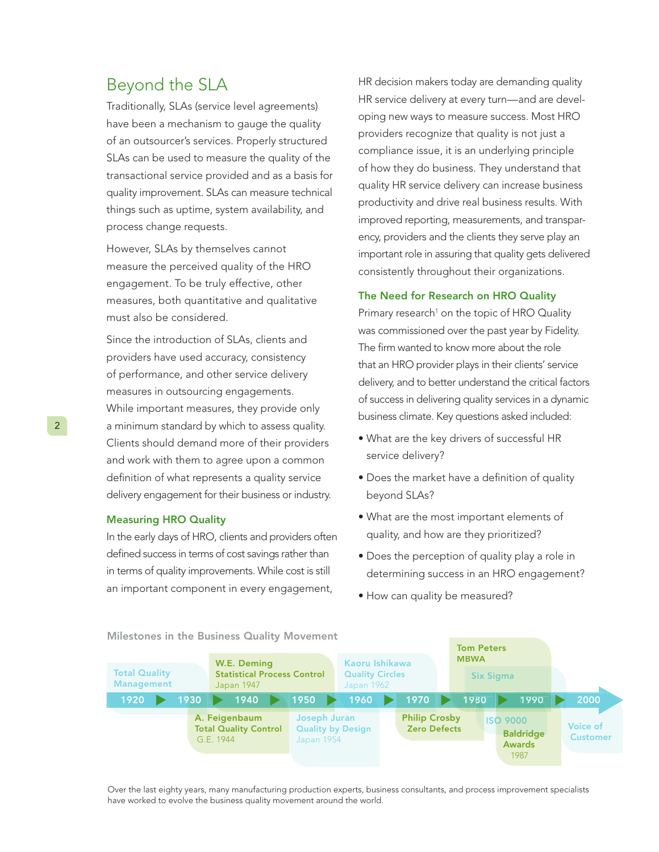### Beyond the SLA

Traditionally, SLAs (service level agreements) have been a mechanism to gauge the quality of an outsourcer's services. Properly structured SLAs can be used to measure the quality of the transactional service provided and as a basis for quality improvement. SLAs can measure technical things such as uptime, system availability, and process change requests.

However, SLAs by themselves cannot measure the perceived quality of the HRO engagement. To be truly effective, other measures, both quantitative and qualitative must also be considered.

Since the introduction of SLAs, clients and providers have used accuracy, consistency of performance, and other service delivery measures in outsourcing engagements. While important measures, they provide only a minimum standard by which to assess quality. Clients should demand more of their providers and work with them to agree upon a common definition of what represents a quality service delivery engagement for their business or industry.

#### Measuring HRO Quality

In the early days of HRO, clients and providers often defined success in terms of cost savings rather than in terms of quality improvements. While cost is still an important component in every engagement,

HR decision makers today are demanding quality HR service delivery at every turn—and are developing new ways to measure success. Most HRO providers recognize that quality is not just a compliance issue, it is an underlying principle of how they do business. They understand that quality HR service delivery can increase business productivity and drive real business results. With improved reporting, measurements, and transparency, providers and the clients they serve play an important role in assuring that quality gets delivered consistently throughout their organizations.

#### The Need for Research on HRO Quality

Primary research<sup>1</sup> on the topic of HRO Quality was commissioned over the past year by Fidelity. The firm wanted to know more about the role that an HRO provider plays in their clients' service delivery, and to better understand the critical factors of success in delivering quality services in a dynamic business climate. Key questions asked included:

- What are the key drivers of successful HR service delivery?
- Does the market have a definition of quality beyond SLAs?
- What are the most important elements of quality, and how are they prioritized?
- Does the perception of quality play a role in determining success in an HRO engagement?
- How can quality be measured?



Over the last eighty years, many manufacturing production experts, business consultants, and process improvement specialists have worked to evolve the business quality movement around the world.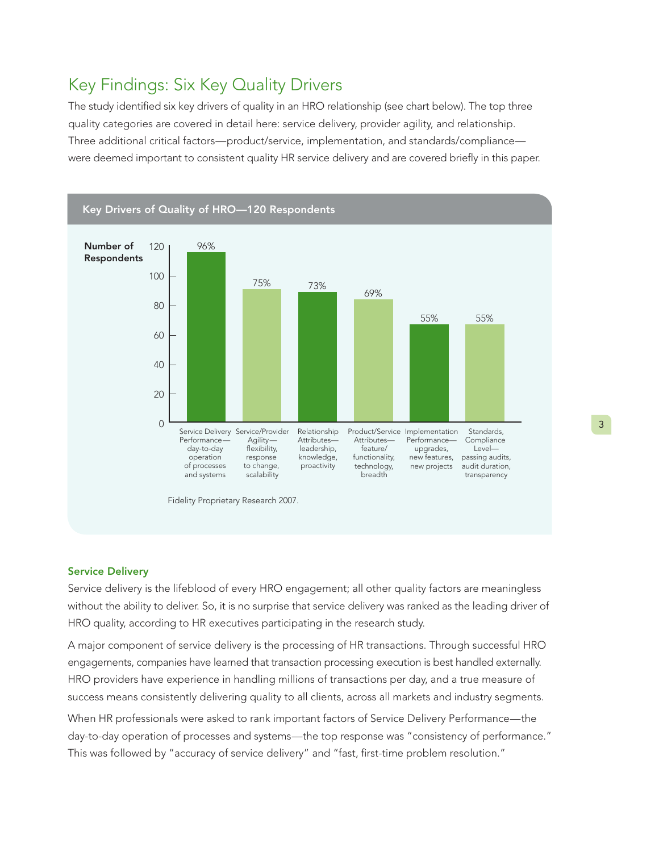## Key Findings: Six Key Quality Drivers

The study identified six key drivers of quality in an HRO relationship (see chart below). The top three quality categories are covered in detail here: service delivery, provider agility, and relationship. Three additional critical factors—product/service, implementation, and standards/compliance were deemed important to consistent quality HR service delivery and are covered briefly in this paper.



#### Service Delivery

Service delivery is the lifeblood of every HRO engagement; all other quality factors are meaningless without the ability to deliver. So, it is no surprise that service delivery was ranked as the leading driver of HRO quality, according to HR executives participating in the research study.

A major component of service delivery is the processing of HR transactions. Through successful HRO engagements, companies have learned that transaction processing execution is best handled externally. HRO providers have experience in handling millions of transactions per day, and a true measure of success means consistently delivering quality to all clients, across all markets and industry segments.

When HR professionals were asked to rank important factors of Service Delivery Performance—the day-to-day operation of processes and systems—the top response was "consistency of performance." This was followed by "accuracy of service delivery" and "fast, first-time problem resolution."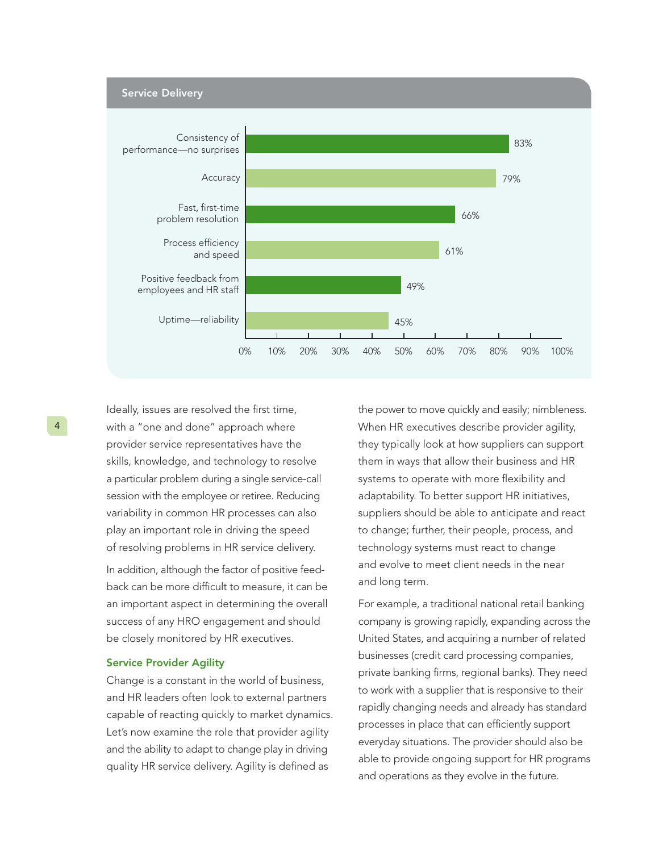

Ideally, issues are resolved the first time, with a "one and done" approach where provider service representatives have the skills, knowledge, and technology to resolve a particular problem during a single service-call session with the employee or retiree. Reducing variability in common HR processes can also play an important role in driving the speed of resolving problems in HR service delivery.

In addition, although the factor of positive feedback can be more difficult to measure, it can be an important aspect in determining the overall success of any HRO engagement and should be closely monitored by HR executives.

#### Service Provider Agility

Change is a constant in the world of business, and HR leaders often look to external partners capable of reacting quickly to market dynamics. Let's now examine the role that provider agility and the ability to adapt to change play in driving quality HR service delivery. Agility is defined as

the power to move quickly and easily; nimbleness. When HR executives describe provider agility, they typically look at how suppliers can support them in ways that allow their business and HR systems to operate with more flexibility and adaptability. To better support HR initiatives, suppliers should be able to anticipate and react to change; further, their people, process, and technology systems must react to change and evolve to meet client needs in the near and long term.

For example, a traditional national retail banking company is growing rapidly, expanding across the United States, and acquiring a number of related businesses (credit card processing companies, private banking firms, regional banks). They need to work with a supplier that is responsive to their rapidly changing needs and already has standard processes in place that can efficiently support everyday situations. The provider should also be able to provide ongoing support for HR programs and operations as they evolve in the future.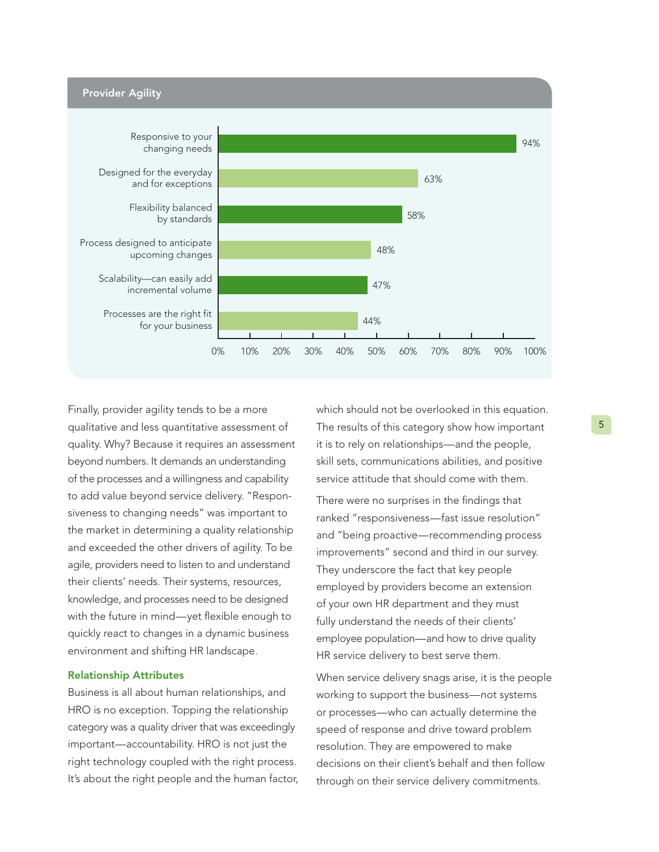

 Finally, provider agility tends to be a more qualitative and less quantitative assessment of quality. Why? Because it requires an assessment beyond numbers. It demands an understanding of the processes and a willingness and capability to add value beyond service delivery. "Responsiveness to changing needs" was important to the market in determining a quality relationship and exceeded the other drivers of agility. To be agile, providers need to listen to and understand their clients' needs. Their systems, resources, knowledge, and processes need to be designed with the future in mind—yet flexible enough to quickly react to changes in a dynamic business environment and shifting HR landscape.

#### Relationship Attributes

Business is all about human relationships, and HRO is no exception. Topping the relationship category was a quality driver that was exceedingly important—accountability. HRO is not just the right technology coupled with the right process. It's about the right people and the human factor, which should not be overlooked in this equation. The results of this category show how important it is to rely on relationships—and the people, skill sets, communications abilities, and positive service attitude that should come with them.

There were no surprises in the findings that ranked "responsiveness—fast issue resolution" and "being proactive—recommending process improvements" second and third in our survey. They underscore the fact that key people employed by providers become an extension of your own HR department and they must fully understand the needs of their clients' employee population—and how to drive quality HR service delivery to best serve them.

When service delivery snags arise, it is the people working to support the business—not systems or processes—who can actually determine the speed of response and drive toward problem resolution. They are empowered to make decisions on their client's behalf and then follow through on their service delivery commitments.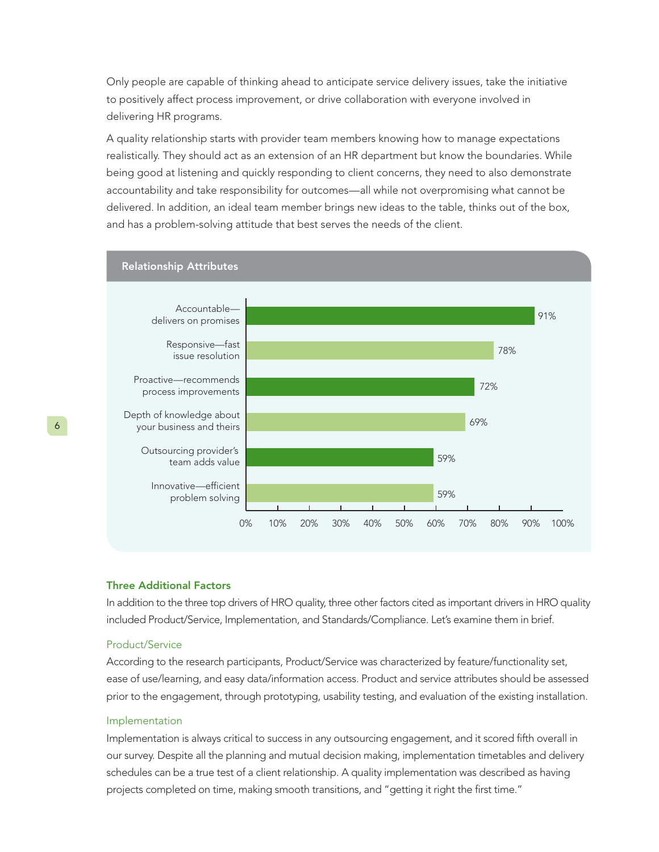Only people are capable of thinking ahead to anticipate service delivery issues, take the initiative to positively affect process improvement, or drive collaboration with everyone involved in delivering HR programs.

A quality relationship starts with provider team members knowing how to manage expectations realistically. They should act as an extension of an HR department but know the boundaries. While being good at listening and quickly responding to client concerns, they need to also demonstrate accountability and take responsibility for outcomes—all while not overpromising what cannot be delivered. In addition, an ideal team member brings new ideas to the table, thinks out of the box, and has a problem-solving attitude that best serves the needs of the client.



#### Three Additional Factors

In addition to the three top drivers of HRO quality, three other factors cited as important drivers in HRO quality included Product/Service, Implementation, and Standards/Compliance. Let's examine them in brief.

#### Product/Service

According to the research participants, Product/Service was characterized by feature/functionality set, ease of use/learning, and easy data/information access. Product and service attributes should be assessed prior to the engagement, through prototyping, usability testing, and evaluation of the existing installation.

#### Implementation

Implementation is always critical to success in any outsourcing engagement, and it scored fifth overall in our survey. Despite all the planning and mutual decision making, implementation timetables and delivery schedules can be a true test of a client relationship. A quality implementation was described as having projects completed on time, making smooth transitions, and "getting it right the first time."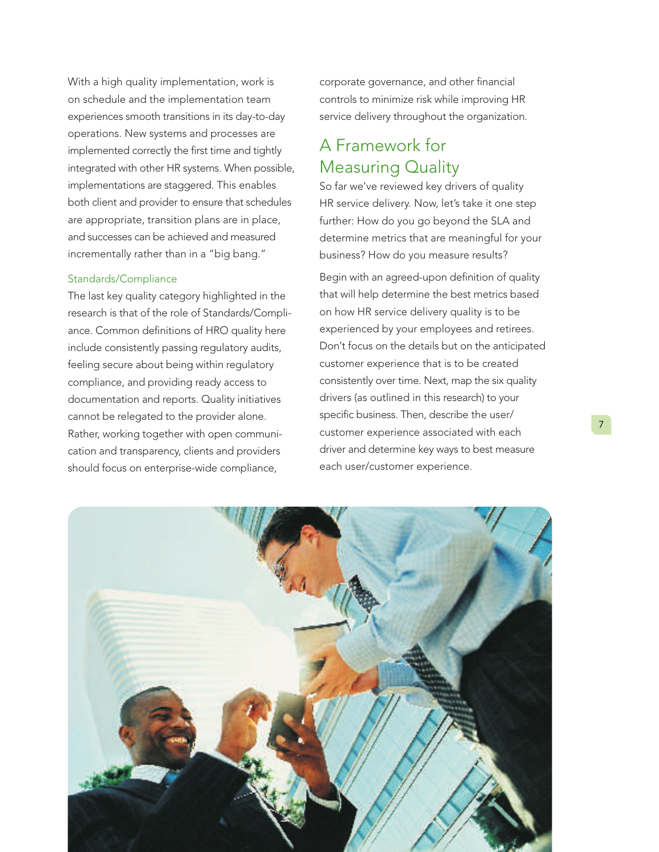With a high quality implementation, work is on schedule and the implementation team experiences smooth transitions in its day-to-day operations. New systems and processes are implemented correctly the first time and tightly integrated with other HR systems. When possible, implementations are staggered. This enables both client and provider to ensure that schedules are appropriate, transition plans are in place, and successes can be achieved and measured incrementally rather than in a "big bang."

### Standards/Compliance

The last key quality category highlighted in the research is that of the role of Standards/Compliance. Common definitions of HRO quality here include consistently passing regulatory audits, feeling secure about being within regulatory compliance, and providing ready access to documentation and reports. Quality initiatives cannot be relegated to the provider alone. Rather, working together with open communication and transparency, clients and providers should focus on enterprise-wide compliance,

corporate governance, and other financial controls to minimize risk while improving HR service delivery throughout the organization.

### A Framework for Measuring Quality

So far we've reviewed key drivers of quality HR service delivery. Now, let's take it one step further: How do you go beyond the SLA and determine metrics that are meaningful for your business? How do you measure results?

Begin with an agreed-upon definition of quality that will help determine the best metrics based on how HR service delivery quality is to be experienced by your employees and retirees. Don't focus on the details but on the anticipated customer experience that is to be created consistently over time. Next, map the six quality drivers (as outlined in this research) to your specific business. Then, describe the user/ customer experience associated with each driver and determine key ways to best measure each user/customer experience.

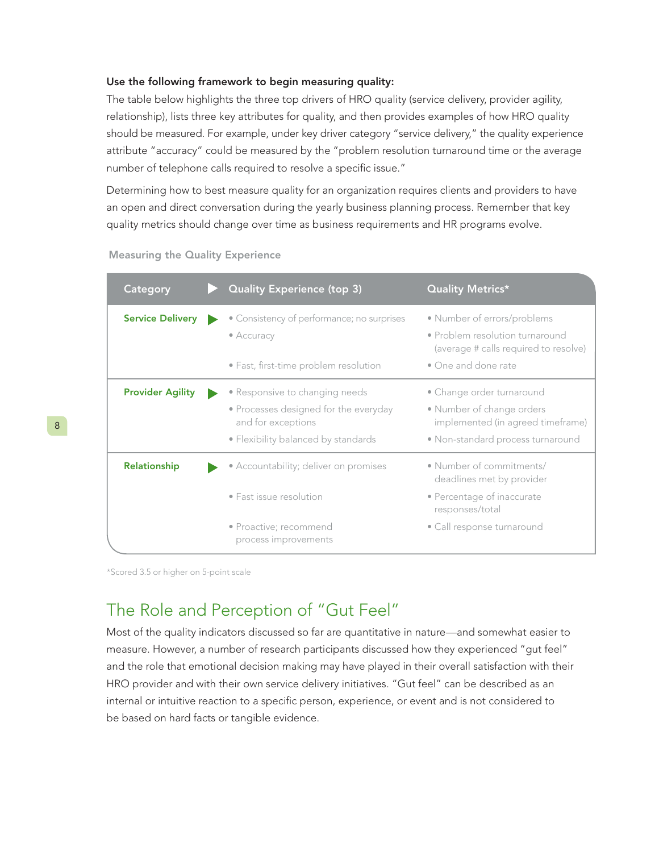#### Use the following framework to begin measuring quality:

The table below highlights the three top drivers of HRO quality (service delivery, provider agility, relationship), lists three key attributes for quality, and then provides examples of how HRO quality should be measured. For example, under key driver category "service delivery," the quality experience attribute "accuracy" could be measured by the "problem resolution turnaround time or the average number of telephone calls required to resolve a specific issue."

Determining how to best measure quality for an organization requires clients and providers to have an open and direct conversation during the yearly business planning process. Remember that key quality metrics should change over time as business requirements and HR programs evolve.

| Category                | <b>Quality Experience (top 3)</b>                                | <b>Quality Metrics*</b>                                        |
|-------------------------|------------------------------------------------------------------|----------------------------------------------------------------|
| <b>Service Delivery</b> | • Consistency of performance; no surprises<br>$\bullet$ Accuracy | • Number of errors/problems<br>• Problem resolution turnaround |
|                         |                                                                  | (average # calls required to resolve)                          |
|                         | • Fast, first-time problem resolution                            | • One and done rate                                            |
| <b>Provider Agility</b> | • Responsive to changing needs                                   | • Change order turnaround                                      |
|                         | • Processes designed for the everyday<br>and for exceptions      | • Number of change orders<br>implemented (in agreed timeframe) |
|                         | • Flexibility balanced by standards                              | • Non-standard process turnaround                              |
| Relationship            | • Accountability; deliver on promises                            | • Number of commitments/<br>deadlines met by provider          |
|                         | • Fast issue resolution                                          | • Percentage of inaccurate<br>responses/total                  |
|                         | • Proactive; recommend<br>process improvements                   | · Call response turnaround                                     |

#### Measuring the Quality Experience

\*Scored 3.5 or higher on 5-point scale

### The Role and Perception of "Gut Feel"

Most of the quality indicators discussed so far are quantitative in nature—and somewhat easier to measure. However, a number of research participants discussed how they experienced "gut feel" and the role that emotional decision making may have played in their overall satisfaction with their HRO provider and with their own service delivery initiatives. "Gut feel" can be described as an internal or intuitive reaction to a specific person, experience, or event and is not considered to be based on hard facts or tangible evidence.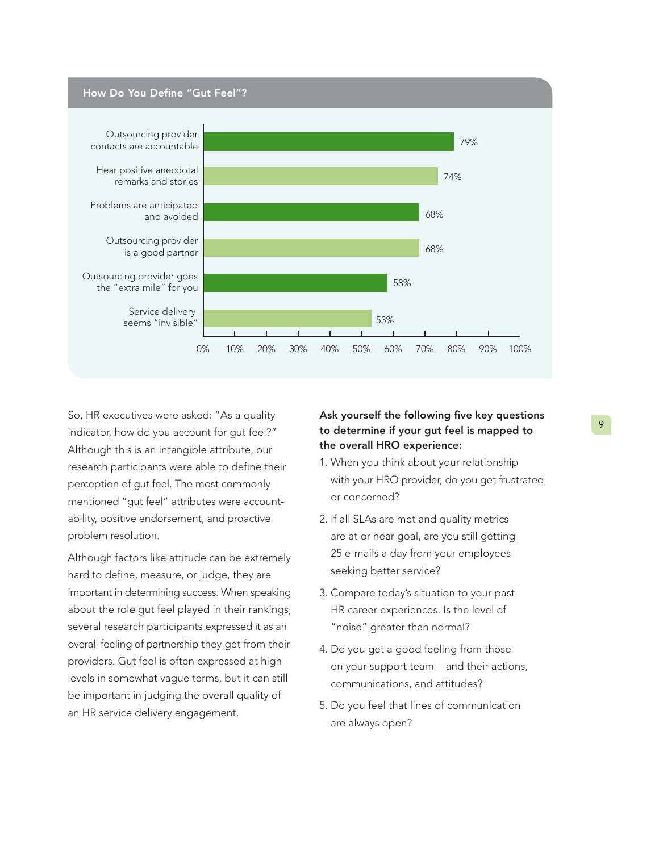

So, HR executives were asked: "As a quality indicator, how do you account for gut feel?" Although this is an intangible attribute, our research participants were able to define their perception of gut feel. The most commonly mentioned "gut feel" attributes were accountability, positive endorsement, and proactive problem resolution.

Although factors like attitude can be extremely hard to define, measure, or judge, they are important in determining success. When speaking about the role gut feel played in their rankings, several research participants expressed it as an overall feeling of partnership they get from their providers. Gut feel is often expressed at high levels in somewhat vague terms, but it can still be important in judging the overall quality of an HR service delivery engagement.

### Ask yourself the following five key questions to determine if your gut feel is mapped to the overall HRO experience:

- 1. When you think about your relationship with your HRO provider, do you get frustrated or concerned?
- 2. If all SLAs are met and quality metrics are at or near goal, are you still getting 25 e-mails a day from your employees seeking better service?
- 3. Compare today's situation to your past HR career experiences. Is the level of "noise" greater than normal?
- 4. Do you get a good feeling from those on your support team—and their actions, communications, and attitudes?
- 5. Do you feel that lines of communication are always open?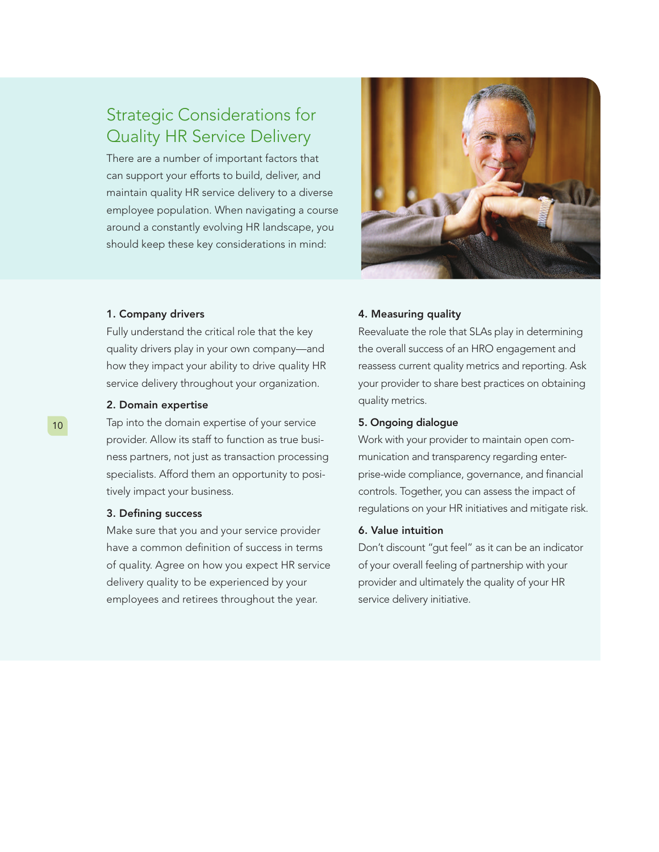## Strategic Considerations for Quality HR Service Delivery

There are a number of important factors that can support your efforts to build, deliver, and maintain quality HR service delivery to a diverse employee population. When navigating a course around a constantly evolving HR landscape, you should keep these key considerations in mind:



#### 1. Company drivers

Fully understand the critical role that the key quality drivers play in your own company—and how they impact your ability to drive quality HR service delivery throughout your organization.

#### 2. Domain expertise

Tap into the domain expertise of your service provider. Allow its staff to function as true business partners, not just as transaction processing specialists. Afford them an opportunity to positively impact your business.

#### 3. Defining success

Make sure that you and your service provider have a common definition of success in terms of quality. Agree on how you expect HR service delivery quality to be experienced by your employees and retirees throughout the year.

#### 4. Measuring quality

Reevaluate the role that SLAs play in determining the overall success of an HRO engagement and reassess current quality metrics and reporting. Ask your provider to share best practices on obtaining quality metrics.

#### 5. Ongoing dialogue

Work with your provider to maintain open communication and transparency regarding enterprise-wide compliance, governance, and financial controls. Together, you can assess the impact of regulations on your HR initiatives and mitigate risk.

#### 6. Value intuition

Don't discount "gut feel" as it can be an indicator of your overall feeling of partnership with your provider and ultimately the quality of your HR service delivery initiative.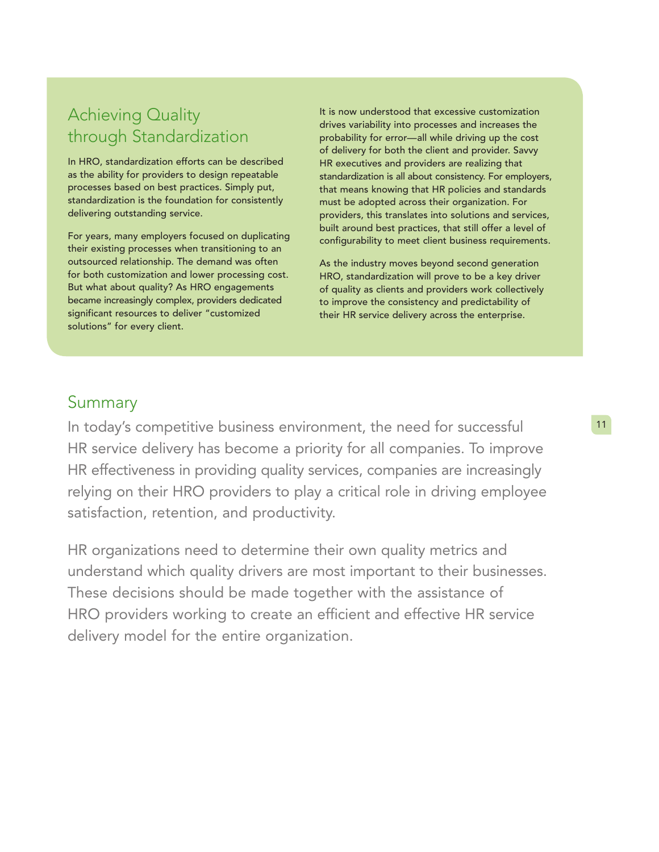## Achieving Quality through Standardization

In HRO, standardization efforts can be described as the ability for providers to design repeatable processes based on best practices. Simply put, standardization is the foundation for consistently delivering outstanding service.

For years, many employers focused on duplicating their existing processes when transitioning to an outsourced relationship. The demand was often for both customization and lower processing cost. But what about quality? As HRO engagements became increasingly complex, providers dedicated significant resources to deliver "customized solutions" for every client.

It is now understood that excessive customization drives variability into processes and increases the probability for error—all while driving up the cost of delivery for both the client and provider. Savvy HR executives and providers are realizing that standardization is all about consistency. For employers, that means knowing that HR policies and standards must be adopted across their organization. For providers, this translates into solutions and services, built around best practices, that still offer a level of configurability to meet client business requirements.

As the industry moves beyond second generation HRO, standardization will prove to be a key driver of quality as clients and providers work collectively to improve the consistency and predictability of their HR service delivery across the enterprise.

### Summary

In today's competitive business environment, the need for successful HR service delivery has become a priority for all companies. To improve HR effectiveness in providing quality services, companies are increasingly relying on their HRO providers to play a critical role in driving employee satisfaction, retention, and productivity.

HR organizations need to determine their own quality metrics and understand which quality drivers are most important to their businesses. These decisions should be made together with the assistance of HRO providers working to create an efficient and effective HR service delivery model for the entire organization.